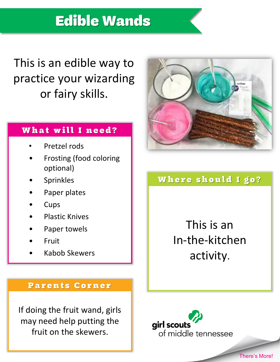# **Edible Wands**

This is an edible way to practice your wizarding or fairy skills.

### What will I need?

- Pretzel rods
- Frosting (food coloring optional)
- **Sprinkles**
- Paper plates
- **Cups**
- Plastic Knives
- Paper towels
- Fruit
- Kabob Skewers



### Where should I go?

This is an In-the-kitchen activity.

#### **Parents Corner**

If doing the fruit wand, girls may need help putting the fruit on the skewers.

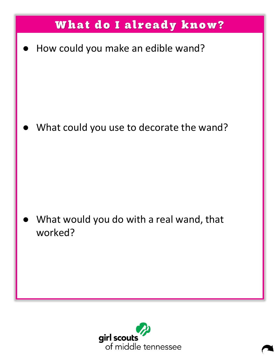

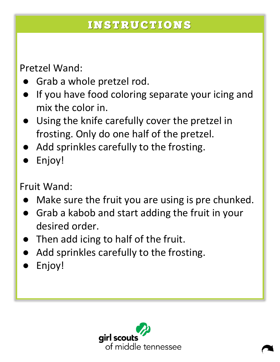## **INSTRUCTIONS**

Pretzel Wand:

- Grab a whole pretzel rod.
- If you have food coloring separate your icing and mix the color in.
- Using the knife carefully cover the pretzel in frosting. Only do one half of the pretzel.
- Add sprinkles carefully to the frosting.
- Enjoy!

Fruit Wand:

- Make sure the fruit you are using is pre chunked.
- Grab a kabob and start adding the fruit in your desired order.
- Then add icing to half of the fruit.
- Add sprinkles carefully to the frosting.
- Enjoy!

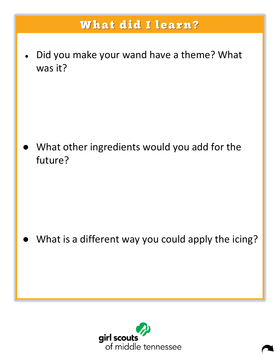## **What did I learn?**

Did you make your wand have a theme? What was it?

What other ingredients would you add for the future?

What is a different way you could apply the icing?